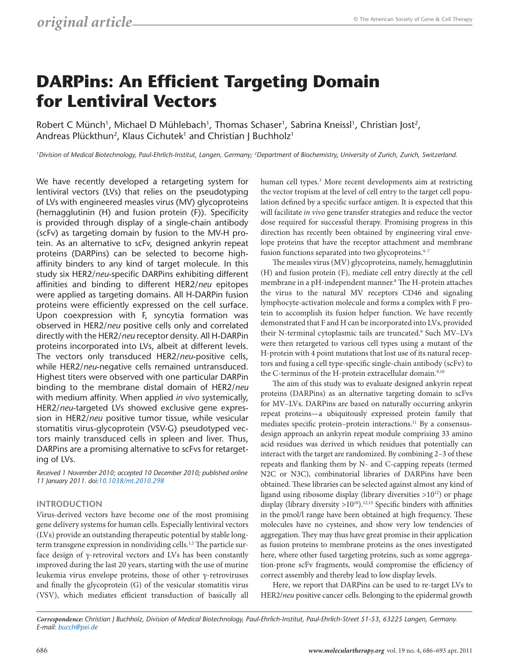# **DARPins: An Efficient Targeting Domain for Lentiviral Vectors**

Robert C Münch<sup>1</sup>, Michael D Mühlebach<sup>1</sup>, Thomas Schaser<sup>1</sup>, Sabrina Kneissl<sup>1</sup>, Christian Jost<sup>2</sup>, Andreas Plückthun<sup>2</sup>, Klaus Cichutek<sup>1</sup> and Christian J Buchholz<sup>1</sup>

*1Division of Medical Biotechnology, Paul-Ehrlich-Institut, Langen, Germany; 2Department of Biochemistry, University of Zurich, Zurich, Switzerland.*

We have recently developed a retargeting system for lentiviral vectors (LVs) that relies on the pseudotyping of LVs with engineered measles virus (MV) glycoproteins (hemagglutinin (H) and fusion protein (F)). Specificity is provided through display of a single-chain antibody (scFv) as targeting domain by fusion to the MV-H protein. As an alternative to scFv, designed ankyrin repeat proteins (DARPins) can be selected to become highaffinity binders to any kind of target molecule. In this study six HER2/*neu*-specific DARPins exhibiting different affinities and binding to different HER2/*neu* epitopes were applied as targeting domains. All H-DARPin fusion proteins were efficiently expressed on the cell surface. Upon coexpression with F, syncytia formation was observed in HER2/*neu* positive cells only and correlated directly with the HER2/*neu* receptor density. All H-DARPin proteins incorporated into LVs, albeit at different levels. The vectors only transduced HER2/*neu*-positive cells, while HER2/*neu*-negative cells remained untransduced. Highest titers were observed with one particular DARPin binding to the membrane distal domain of HER2/*neu* with medium affinity. When applied *in vivo* systemically, HER2/*neu*-targeted LVs showed exclusive gene expression in HER2/*neu* positive tumor tissue, while vesicular stomatitis virus-glycoprotein (VSV-G) pseudotyped vectors mainly transduced cells in spleen and liver. Thus, DARPins are a promising alternative to scFvs for retargeting of LVs.

*Received 1 November 2010; accepted 10 December 2010; published online 11 January 2011. doi[:10.1038/mt.2010.298](http://www.nature.com/doifinder/10.1038/mt.2010.298)*

### **Introduction**

Virus-derived vectors have become one of the most promising gene delivery systems for human cells. Especially lentiviral vectors (LVs) provide an outstanding therapeutic potential by stable longterm transgene expression in nondividing cells.<sup>1,2</sup> The particle surface design of γ-retroviral vectors and LVs has been constantly improved during the last 20 years, starting with the use of murine leukemia virus envelope proteins, those of other γ-retroviruses and finally the glycoprotein (G) of the vesicular stomatitis virus (VSV), which mediates efficient transduction of basically all

human cell types.<sup>3</sup> More recent developments aim at restricting the vector tropism at the level of cell entry to the target cell population defined by a specific surface antigen. It is expected that this will facilitate *in vivo* gene transfer strategies and reduce the vector dose required for successful therapy. Promising progress in this direction has recently been obtained by engineering viral envelope proteins that have the receptor attachment and membrane fusion functions separated into two glycoproteins.<sup>4-7</sup>

The measles virus (MV) glycoproteins, namely, hemagglutinin (H) and fusion protein (F), mediate cell entry directly at the cell membrane in a pH-independent manner.<sup>8</sup> The H-protein attaches the virus to the natural MV receptors CD46 and signaling lymphocyte-activation molecule and forms a complex with F protein to accomplish its fusion helper function. We have recently demonstrated that F and H can be incorporated into LVs, provided their N-terminal cytoplasmic tails are truncated.<sup>9</sup> Such MV-LVs were then retargeted to various cell types using a mutant of the H-protein with 4 point mutations that lost use of its natural receptors and fusing a cell type-specific single-chain antibody (scFv) to the C-terminus of the H-protein extracellular domain.<sup>9,10</sup>

The aim of this study was to evaluate designed ankyrin repeat proteins (DARPins) as an alternative targeting domain to scFvs for MV–LVs. DARPins are based on naturally occurring ankyrin repeat proteins—a ubiquitously expressed protein family that mediates specific protein-protein interactions.<sup>11</sup> By a consensusdesign approach an ankyrin repeat module comprising 33 amino acid residues was derived in which residues that potentially can interact with the target are randomized. By combining 2–3 of these repeats and flanking them by N- and C-capping repeats (termed N2C or N3C), combinatorial libraries of DARPins have been obtained. These libraries can be selected against almost any kind of ligand using ribosome display (library diversities >1012) or phage display (library diversity  $>10^{10}$ ).<sup>12,13</sup> Specific binders with affinities in the pmol/l range have been obtained at high frequency. These molecules have no cysteines, and show very low tendencies of aggregation. They may thus have great promise in their application as fusion proteins to membrane proteins as the ones investigated here, where other fused targeting proteins, such as some aggregation-prone scFv fragments, would compromise the efficiency of correct assembly and thereby lead to low display levels.

Here, we report that DARPins can be used to re-target LVs to HER2/*neu* positive cancer cells. Belonging to the epidermal growth

*Correspondence: Christian J Buchholz, Division of Medical Biotechnology, Paul-Ehrlich-Institut, Paul-Ehrlich-Street 51-53, 63225 Langen, Germany. E-mail: [bucch@pei.de](mailto:bucch@pei.de)*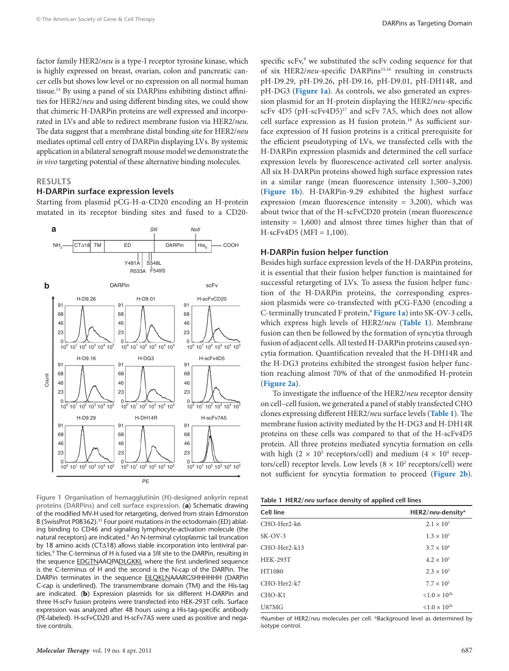<span id="page-1-0"></span>factor family HER2/*neu* is a type-I receptor tyrosine kinase, which is highly expressed on breast, ovarian, colon and pancreatic cancer cells but shows low level or no expression on all normal human tissue.14 By using a panel of six DARPins exhibiting distinct affinities for HER2/*neu* and using different binding sites, we could show that chimeric H-DARPin proteins are well expressed and incorporated in LVs and able to redirect membrane fusion via HER2/*neu*. The data suggest that a membrane distal binding site for HER2/*neu* mediates optimal cell entry of DARPin displaying LVs. By systemic application in a bilateral xenograft mouse model we demonstrate the *in vivo* targeting potential of these alternative binding molecules.

#### **Results**

#### **H-DARPin surface expression levels**

Starting from plasmid pCG-H-α-CD20 encoding an H-protein mutated in its receptor binding sites and fused to a CD20-



**Figure 1 Organisation of hemagglutinin (H)-designed ankyrin repeat proteins (DARPins) and cell surface expression.** (**a**) Schematic drawing of the modified MV-H used for retargeting, derived from strain Edmonston B (SwissProt P08362).<sup>31</sup> Four point mutations in the ectodomain (ED) ablating binding to CD46 and signaling lymphocyte-activation molecule (the natural receptors) are indicated.<sup>9</sup> An N-terminal cytoplasmic tail truncation by 18 amino acids (CTΔ18) allows stable incorporation into lentiviral particles.9 The C-terminus of H is fused via a *Sfi*I site to the DARPin, resulting in the sequence EDGTNAAQPADLGKKL where the first underlined sequence is the C-terminus of H and the second is the N-cap of the DARPin. The DARPin terminates in the sequence EILQKLNAAARGSHHHHHH (DARPin C-cap is underlined). The transmembrane domain (TM) and the His-tag are indicated. (**b**) Expression plasmids for six different H-DARPin and three H-scFv fusion proteins were transfected into HEK-293T cells. Surface expression was analyzed after 48 hours using a His-tag-specific antibody (PE-labeled). H-scFvCD20 and H-scFv7A5 were used as positive and negative controls.

specific scFv,<sup>9</sup> we substituted the scFv coding sequence for that of six HER2/neu-specific DARPins<sup>15,16</sup> resulting in constructs pH-D9.29, pH-D9.26, pH-D9.16, pH-D9.01, pH-DH14R, and pH-DG3 (**Figure 1a**). As controls, we also generated an expression plasmid for an H-protein displaying the HER2/*neu*-specific scFv 4D5 (pH-scFv4D5)<sup>17</sup> and scFv 7A5, which does not allow cell surface expression as H fusion protein.<sup>18</sup> As sufficient surface expression of H fusion proteins is a critical prerequisite for the efficient pseudotyping of LVs, we transfected cells with the H-DARPin expression plasmids and determined the cell surface expression levels by fluorescence-activated cell sorter analysis. All six H-DARPin proteins showed high surface expression rates in a similar range (mean fluorescence intensity 1,500–3,200) (**Figure 1b**). H-DARPin-9.29 exhibited the highest surface expression (mean fluorescence intensity = 3,200), which was about twice that of the H-scFvCD20 protein (mean fluorescence intensity  $= 1,600$  and almost three times higher than that of  $H-scFv4D5$  (MFI = 1,100).

#### **H-DARPin fusion helper function**

Besides high surface expression levels of the H-DARPin proteins, it is essential that their fusion helper function is maintained for successful retargeting of LVs. To assess the fusion helper function of the H-DARPin proteins, the corresponding expression plasmids were co-transfected with pCG-F∆30 (encoding a C-terminally truncated F protein,9 **Figure 1a**) into SK-OV-3 cells, which express high levels of HER2/*neu* (**Table 1**). Membrane fusion can then be followed by the formation of syncytia through fusion of adjacent cells. All tested H-DARPin proteins caused syncytia formation. Quantification revealed that the H-DH14R and the H-DG3 proteins exhibited the strongest fusion helper function reaching almost 70% of that of the unmodified H-protein (**[Figure](#page-2-0) 2a**).

To investigate the influence of the HER2/*neu* receptor density on cell–cell fusion, we generated a panel of stably transfected CHO clones expressing different HER2/*neu* surface levels (**Table 1**). The membrane fusion activity mediated by the H-DG3 and H-DH14R proteins on these cells was compared to that of the H-scFv4D5 protein. All three proteins mediated syncytia formation on cells with high  $(2 \times 10^5 \text{ receptors/cell})$  and medium  $(4 \times 10^4 \text{ receptor})$ tors/cell) receptor levels. Low levels  $(8 \times 10^2 \text{ receptors/cell})$  were not sufficient for syncytia formation to proceed (**[Figure](#page-2-0) 2b**).

|  | Table 1 HER2/neu surface density of applied cell lines |  |  |  |  |  |  |
|--|--------------------------------------------------------|--|--|--|--|--|--|
|--|--------------------------------------------------------|--|--|--|--|--|--|

| <b>Cell line</b> | HER2/neu-density <sup>a</sup> |
|------------------|-------------------------------|
| CHO-Her2-k6      | $2.1 \times 10^{5}$           |
| $SK-OV-3$        | $1.3 \times 10^{5}$           |
| $CHO-Her2-k13$   | $3.7 \times 10^{4}$           |
| <b>HEK-293T</b>  | $4.2 \times 10^{3}$           |
| HT1080           | $2.3 \times 10^{3}$           |
| CHO-Her2-k7      | $7.7 \times 10^{2}$           |
| $CHO-K1$         | $< 1.0 \times 10^{2b}$        |
| U87MG            | $< 1.0 \times 10^{2b}$        |

<sup>a</sup>Number of HER2/neu molecules per cell. *Background level as determined by* isotype control.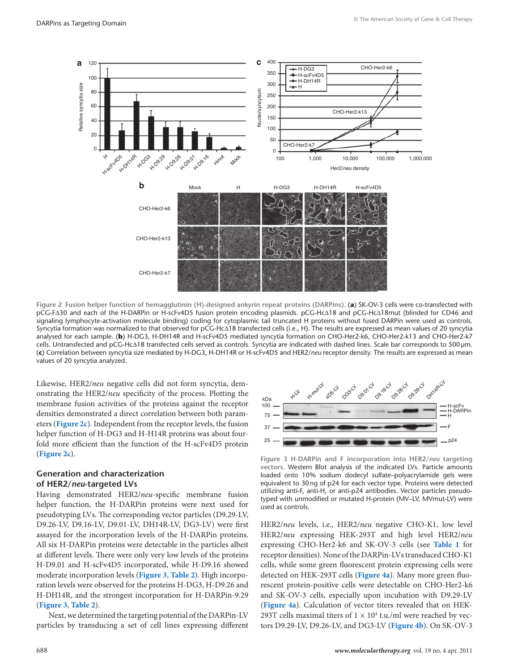<span id="page-2-0"></span>

**Figure 2 Fusion helper function of hemagglutinin (H)-designed ankyrin repeat proteins (DARPins).** (**a**) SK-OV-3 cells were co-transfected with pCG-F∆30 and each of the H-DARPin or H-scFv4D5 fusion protein encoding plasmids. pCG-Hc∆18 and pCG-Hc∆18mut (blinded for CD46 and signaling lymphocyte-activation molecule binding) coding for cytoplasmic tail truncated H proteins without fused DARPin were used as controls. Syncytia formation was normalized to that observed for pCG-Hc∆18 transfected cells (i.e., H). The results are expressed as mean values of 20 syncytia analysed for each sample. (**b**) H-DG3, H-DH14R and H-scFv4D5 mediated syncytia formation on CHO-Her2-k6, CHO-Her2-k13 and CHO-Her2-k7 cells. Untransfected and pCG-Hc∆18 transfected cells served as controls. Syncytia are indicated with dashed lines. Scale bar corresponds to 500μm. (**c**) Correlation between syncytia size mediated by H-DG3, H-DH14R or H-scFv4D5 and HER2/*neu* receptor density. The results are expressed as mean values of 20 syncytia analyzed.

Likewise, HER2/*neu* negative cells did not form syncytia, demonstrating the HER2/*neu* specificity of the process. Plotting the membrane fusion activities of the proteins against the receptor densities demonstrated a direct correlation between both parameters (**Figure 2c**). Independent from the receptor levels, the fusion helper function of H-DG3 and H-H14R proteins was about fourfold more efficient than the function of the H-scFv4D5 protein (**Figure 2c**).

#### **Generation and characterization of HER2/***neu***-targeted LVs**

Having demonstrated HER2/*neu*-specific membrane fusion helper function, the H-DARPin proteins were next used for pseudotyping LVs. The corresponding vector particles (D9.29-LV, D9.26-LV, D9.16-LV, D9.01-LV, DH14R-LV, DG3-LV) were first assayed for the incorporation levels of the H-DARPin proteins. All six H-DARPin proteins were detectable in the particles albeit at different levels. There were only very low levels of the proteins H-D9.01 and H-scFv4D5 incorporated, while H-D9.16 showed moderate incorporation levels (**Figure 3**, **[Table](#page-5-0) 2**). High incorporation levels were observed for the proteins H-DG3, H-D9.26 and H-DH14R, and the strongest incorporation for H-DARPin-9.29 (**Figure 3**, **[Table](#page-5-0) 2**).

Next, we determined the targeting potential of the DARPin-LV particles by transducing a set of cell lines expressing different



**Figure 3 H-DARPin and F incorporation into HER2/***neu* **targeting vectors.** Western Blot analysis of the indicated LVs. Particle amounts loaded onto 10% sodium dodecyl sulfate–polyacrylamide gels were equivalent to 30ng of p24 for each vector type. Proteins were detected utilizing anti-F, anti-H, or anti-p24 antibodies. Vector particles pseudotyped with unmodified or mutated H-protein (MV–LV, MVmut-LV) were used as controls.

HER2/*neu* levels, i.e., HER2/*neu* negative CHO-K1, low level HER2/*neu* expressing HEK-293T and high level HER2/*neu* expressing CHO-Her2-k6 and SK-OV-3 cells (see **[Table](#page-1-0) 1** for receptor densities). None of the DARPin-LVs transduced CHO-K1 cells, while some green fluorescent protein expressing cells were detected on HEK-293T cells (**[Figure](#page-3-0) 4a**). Many more green fluorescent protein-positive cells were detectable on CHO-Her2-k6 and SK-OV-3 cells, especially upon incubation with D9.29-LV (**[Figure](#page-3-0) 4a**). Calculation of vector titers revealed that on HEK-293T cells maximal titers of  $1 \times 10^4$  t.u./ml were reached by vectors D9.29-LV, D9.26-LV, and DG3-LV (**[Figure](#page-3-0) 4b**). On SK-OV-3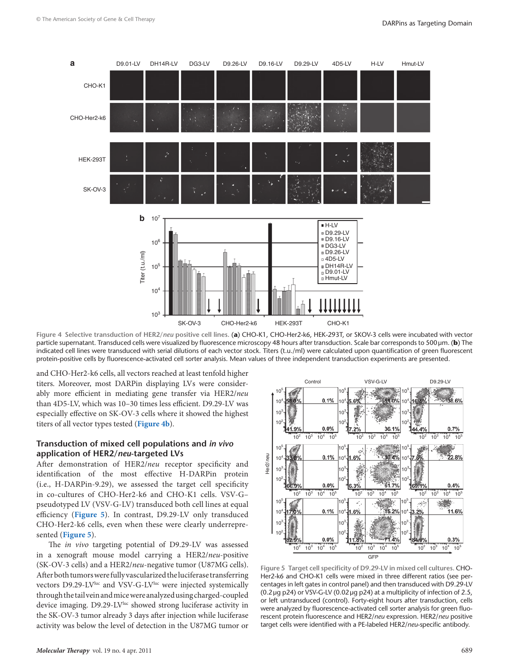<span id="page-3-0"></span>

**Figure 4 Selective transduction of HER2/***neu* **positive cell lines.** (**a**) CHO-K1, CHO-Her2-k6, HEK-293T, or SKOV-3 cells were incubated with vector particle supernatant. Transduced cells were visualized by fluorescence microscopy 48 hours after transduction. Scale bar corresponds to 500μm. (**b**) The indicated cell lines were transduced with serial dilutions of each vector stock. Titers (t.u./ml) were calculated upon quantification of green fluorescent protein-positive cells by fluorescence-activated cell sorter analysis. Mean values of three independent transduction experiments are presented.

and CHO-Her2-k6 cells, all vectors reached at least tenfold higher titers. Moreover, most DARPin displaying LVs were considerably more efficient in mediating gene transfer via HER2/*neu* than 4D5-LV, which was 10–30 times less efficient. D9.29-LV was especially effective on SK-OV-3 cells where it showed the highest titers of all vector types tested (**Figure 4b**).

#### **Transduction of mixed cell populations and** *in vivo* **application of HER2/***neu***-targeted LVs**

After demonstration of HER2/*neu* receptor specificity and identification of the most effective H-DARPin protein (i.e., H-DARPin-9.29), we assessed the target cell specificity in co-cultures of CHO-Her2-k6 and CHO-K1 cells. VSV-G– pseudotyped LV (VSV-G-LV) transduced both cell lines at equal efficiency (**Figure 5**). In contrast, D9.29-LV only transduced CHO-Her2-k6 cells, even when these were clearly underrepresented (**Figure 5**).

The *in vivo* targeting potential of D9.29-LV was assessed in a xenograft mouse model carrying a HER2/*neu*-positive (SK-OV-3 cells) and a HER2/*neu*-negative tumor (U87MG cells). After both tumors were fully vascularized the luciferase transferring vectors D9.29-LV<sup>luc</sup> and VSV-G-LV<sup>luc</sup> were injected systemically through the tail vein and mice were analyzed using charged-coupled device imaging. D9.29-LV<sup>luc</sup> showed strong luciferase activity in the SK-OV-3 tumor already 3 days after injection while luciferase activity was below the level of detection in the U87MG tumor or



**Figure 5 Target cell specificity of D9.29-LV in mixed cell cultures.** CHO-Her2-k6 and CHO-K1 cells were mixed in three different ratios (see percentages in left gates in control panel) and then transduced with D9.29-LV (0.2 µg p24) or VSV-G-LV (0.02 µg p24) at a multiplicity of infection of 2.5, or left untransduced (control). Forty-eight hours after transduction, cells were analyzed by fluorescence-activated cell sorter analysis for green fluorescent protein fluorescence and HER2/*neu* expression. HER2/*neu* positive target cells were identified with a PE-labeled HER2/*neu*-specific antibody.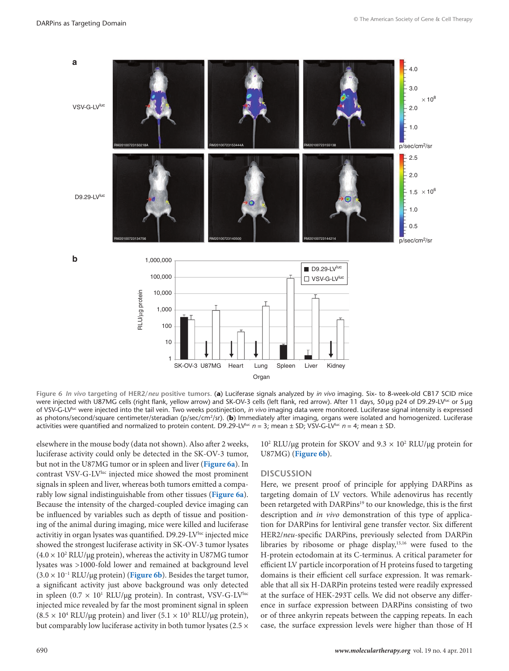

**Figure 6** *In vivo* **targeting of HER2/***neu* **positive tumors.** (**a**) Luciferase signals analyzed by *in vivo* imaging. Six- to 8-week-old CB17 SCID mice were injected with U87MG cells (right flank, yellow arrow) and SK-OV-3 cells (left flank, red arrow). After 11 days, 50μg p24 of D9.29-LV<sup>Iuc</sup> or 5μg of VSV-G-LVluc were injected into the tail vein. Two weeks postinjection, *in vivo* imaging data were monitored. Luciferase signal intensity is expressed as photons/second/square centimeter/steradian (p/sec/cm2/sr). (**b**) Immediately after imaging, organs were isolated and homogenized. Luciferase activities were quantified and normalized to protein content. D9.29-LV<sup>luc</sup>  $n = 3$ ; mean ± SD; VSV-G-LV<sup>luc</sup>  $n = 4$ ; mean ± SD.

elsewhere in the mouse body (data not shown). Also after 2 weeks, luciferase activity could only be detected in the SK-OV-3 tumor, but not in the U87MG tumor or in spleen and liver (**Figure 6a**). In contrast VSV-G-LV<sup>luc</sup> injected mice showed the most prominent signals in spleen and liver, whereas both tumors emitted a comparably low signal indistinguishable from other tissues (**Figure 6a**). Because the intensity of the charged-coupled device imaging can be influenced by variables such as depth of tissue and positioning of the animal during imaging, mice were killed and luciferase activitiy in organ lysates was quantified. D9.29-LV<sup>Iuc</sup> injected mice showed the strongest luciferase activity in SK-OV-3 tumor lysates  $(4.0 \times 10^2 \text{ RLU/µg protein})$ , whereas the activity in U87MG tumor lysates was >1000-fold lower and remained at background level (3.0 × 10−1 RLU/µg protein) (**Figure 6b**). Besides the target tumor, a significant activity just above background was only detected in spleen (0.7  $\times$  10<sup>1</sup> RLU/µg protein). In contrast, VSV-G-LV<sup>luc</sup> injected mice revealed by far the most prominent signal in spleen  $(8.5 \times 10^4 \text{ RLU/µg protein})$  and liver  $(5.1 \times 10^3 \text{ RLU/µg protein})$ , but comparably low luciferase activity in both tumor lysates (2.5  $\times$ 

10<sup>2</sup> RLU/μg protein for SKOV and  $9.3 \times 10^2$  RLU/μg protein for U87MG) (**Figure 6b**).

#### **Discussion**

Here, we present proof of principle for applying DARPins as targeting domain of LV vectors. While adenovirus has recently been retargeted with DARPins<sup>19</sup> to our knowledge, this is the first description and *in vivo* demonstration of this type of application for DARPins for lentiviral gene transfer vector. Six different HER2/*neu*-specific DARPins, previously selected from DARPin libraries by ribosome or phage display,15,16 were fused to the H-protein ectodomain at its C-terminus. A critical parameter for efficient LV particle incorporation of H proteins fused to targeting domains is their efficient cell surface expression. It was remarkable that all six H-DARPin proteins tested were readily expressed at the surface of HEK-293T cells. We did not observe any difference in surface expression between DARPins consisting of two or of three ankyrin repeats between the capping repeats. In each case, the surface expression levels were higher than those of H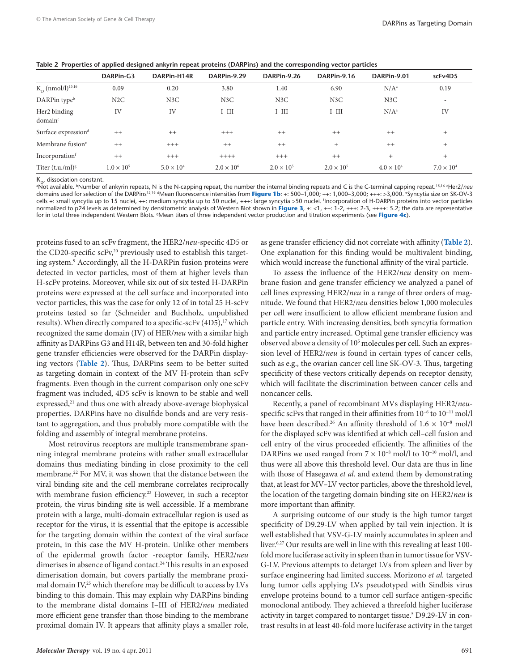<span id="page-5-0"></span>**Table 2 Properties of applied designed ankyrin repeat proteins (DARPins) and the corresponding vector particles**

|                                     | DARPin-G3           | DARPin-H14R         | DARPin-9.29         | DARPin-9.26         | DARPin-9.16         | DARPin-9.01         | scFv4D5                  |
|-------------------------------------|---------------------|---------------------|---------------------|---------------------|---------------------|---------------------|--------------------------|
| $K_{p}$ (nmol/l) <sup>15,16</sup>   | 0.09                | 0.20                | 3.80                | 1.40                | 6.90                | $N/A^a$             | 0.19                     |
| DARPin type <sup>b</sup>            | N2C                 | N3C                 | N3C                 | N3C                 | N3C                 | N3C                 | $\overline{\phantom{a}}$ |
| Her2 binding<br>domain <sup>c</sup> | IV                  | IV                  | $I-III$             | $I-III$             | $I-III$             | $N/A^a$             | IV                       |
| Surface expression <sup>d</sup>     | $++$                | $++$                | $+++$               | $++$                | $++$                | $++$                | $+$                      |
| Membrane fusion <sup>e</sup>        | $++$                | $+++$               | $++$                | $++$                | $+$                 | $++$                | $+$                      |
| Incorporation                       | $++$                | $+++$               | $+++++$             | $+++$               | $++$                | $+$                 | $+$                      |
| Titer $(t.u./ml)^g$                 | $1.0 \times 10^{5}$ | $5.0 \times 10^{4}$ | $2.0 \times 10^{6}$ | $2.0 \times 10^{5}$ | $2.0 \times 10^{5}$ | $4.0 \times 10^{4}$ | $7.0 \times 10^{4}$      |

 $K_{\sim}$ , dissociation constant.

Not available. <sup>b</sup>Number of ankyrin repeats, N is the N-capping repeat, the number the internal binding repeats and C is the C-terminal capping repeat.<sup>15,16</sup> 'Her2/*neu* domains used for selection of the DARPins<sup>15,16 d</sup>Mean fluorescence intensities from **[Figure](#page-1-0) 1b**: +: 500–1,000; ++: 1,000–3,000; +++: >3,000. <sup>e</sup>Syncytia size on SK-OV-3 cells +: small syncytia up to 15 nuclei, ++: medium syncytia up to 50 nuclei, +++: large syncytia >50 nuclei. f Incorporation of H-DARPin proteins into vector particles normalized to p24 levels as determined by densitometric analysis of Western Blot shown in **[Figure](#page-2-0) 3**, +: <1, ++: 1-2, +++: 2-3, ++++: 5.2; the data are representative for in total three independent Western Blots. gMean titers of three independent vector production and titration experiments (see **[Figure](#page-3-0) 4c**).

proteins fused to an scFv fragment, the HER2/*neu*-specific 4D5 or the CD20-specific scFv,<sup>20</sup> previously used to establish this targeting system.9 Accordingly, all the H-DARPin fusion proteins were detected in vector particles, most of them at higher levels than H-scFv proteins. Moreover, while six out of six tested H-DARPin proteins were expressed at the cell surface and incorporated into vector particles, this was the case for only 12 of in total 25 H-scFv proteins tested so far (Schneider and Buchholz, unpublished results). When directly compared to a specific-scFv (4D5),<sup>17</sup> which recognized the same domain (IV) of HER/*neu* with a similar high affinity as DARPins G3 and H14R, between ten and 30-fold higher gene transfer efficiencies were observed for the DARPin displaying vectors (**Table 2**). Thus, DARPins seem to be better suited as targeting domain in context of the MV H-protein than scFv fragments. Even though in the current comparison only one scFv fragment was included, 4D5 scFv is known to be stable and well expressed,<sup>21</sup> and thus one with already above-average biophysical properties. DARPins have no disulfide bonds and are very resistant to aggregation, and thus probably more compatible with the folding and assembly of integral membrane proteins.

Most retrovirus receptors are multiple transmembrane spanning integral membrane proteins with rather small extracellular domains thus mediating binding in close proximity to the cell membrane.<sup>22</sup> For MV, it was shown that the distance between the viral binding site and the cell membrane correlates reciprocally with membrane fusion efficiency.<sup>23</sup> However, in such a receptor protein, the virus binding site is well accessible. If a membrane protein with a large, multi-domain extracellular region is used as receptor for the virus, it is essential that the epitope is accessible for the targeting domain within the context of the viral surface protein, in this case the MV H-protein. Unlike other members of the epidermal growth factor -receptor family, HER2/*neu* dimerises in absence of ligand contact.<sup>24</sup> This results in an exposed dimerisation domain, but covers partially the membrane proximal domain  $\rm IV^{25}_3$  which therefore may be difficult to access by LVs binding to this domain. This may explain why DARPins binding to the membrane distal domains I–III of HER2/*neu* mediated more efficient gene transfer than those binding to the membrane proximal domain IV. It appears that affinity plays a smaller role,

*Molecular Therapy* vol. 19 no. 4 apr. 2011 691

as gene transfer efficiency did not correlate with affinity (**Table 2**). One explanation for this finding would be multivalent binding, which would increase the functional affinity of the viral particle.

To assess the influence of the HER2/*neu* density on membrane fusion and gene transfer efficiency we analyzed a panel of cell lines expressing HER2/*neu* in a range of three orders of magnitude. We found that HER2/*neu* densities below 1,000 molecules per cell were insufficient to allow efficient membrane fusion and particle entry. With increasing densities, both syncytia formation and particle entry increased. Optimal gene transfer efficiency was observed above a density of 10<sup>5</sup> molecules per cell. Such an expression level of HER2/*neu* is found in certain types of cancer cells, such as e.g., the ovarian cancer cell line SK-OV-3. Thus, targeting specificity of these vectors critically depends on receptor density, which will facilitate the discrimination between cancer cells and noncancer cells.

Recently, a panel of recombinant MVs displaying HER2/*neu*specific scFvs that ranged in their affinities from 10<sup>-6</sup> to 10<sup>-11</sup> mol/l have been described.26 An affinity threshold of 1.6 × 10−8 mol/l for the displayed scFv was identified at which cell–cell fusion and cell entry of the virus proceeded efficiently. The affinities of the DARPins we used ranged from  $7 \times 10^{-8}$  mol/l to 10<sup>-10</sup> mol/l, and thus were all above this threshold level. Our data are thus in line with those of Hasegawa *et al.* and extend them by demonstrating that, at least for MV–LV vector particles, above the threshold level, the location of the targeting domain binding site on HER2/*neu* is more important than affinity.

A surprising outcome of our study is the high tumor target specificity of D9.29-LV when applied by tail vein injection. It is well established that VSV-G-LV mainly accumulates in spleen and liver.6,27 Our results are well in line with this revealing at least 100 fold more luciferase activity in spleen than in tumor tissue for VSV-G-LV. Previous attempts to detarget LVs from spleen and liver by surface engineering had limited success. Morizono *et al.* targeted lung tumor cells applying LVs pseudotyped with Sindbis virus envelope proteins bound to a tumor cell surface antigen-specific monoclonal antibody. They achieved a threefold higher luciferase activity in target compared to nontarget tissue.<sup>5</sup> D9.29-LV in contrast results in at least 40-fold more luciferase activity in the target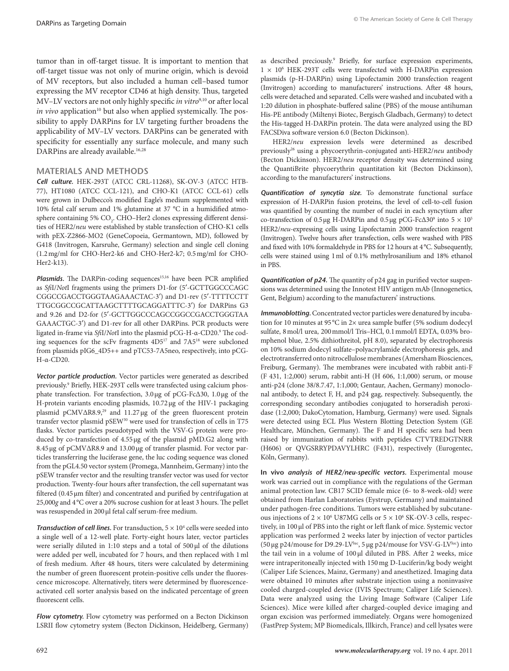tumor than in off-target tissue. It is important to mention that off-target tissue was not only of murine origin, which is devoid of MV receptors, but also included a human cell–based tumor expressing the MV receptor CD46 at high density. Thus, targeted MV-LV vectors are not only highly specific *in vitro<sup>9,10</sup>* or after local *in vivo* application<sup>10</sup> but also when applied systemically. The possibility to apply DARPins for LV targeting further broadens the applicability of MV–LV vectors. DARPins can be generated with specificity for essentially any surface molecule, and many such DARPins are already available.<sup>16,28</sup>

#### **Materials and Methods**

*Cell culture.* HEK-293T (ATCC CRL-11268), SK-OV-3 (ATCC HTB-77), HT1080 (ATCC CCL-121), and CHO-K1 (ATCC CCL-61) cells were grown in Dulbecco's modified Eagle's medium supplemented with 10% fetal calf serum and 1% glutamine at 37 °C in a humidified atmosphere containing 5%  $\mathrm{CO}_2$ . CHO–Her2 clones expressing different densities of HER2/*neu* were established by stable transfection of CHO-K1 cells with pEX-Z2866-MO2 (GeneCopoeia, Germantown, MD), followed by G418 (Invitrogen, Karsruhe, Germany) selection and single cell cloning (1.2mg/ml for CHO-Her2-k6 and CHO-Her2-k7; 0.5mg/ml for CHO-Her2-k13).

Plasmids. The DARPin-coding sequences<sup>15,16</sup> have been PCR amplified as *Sfi*I/*Not*I fragments using the primers D1-for (5′-GCTTGGCCCAGC CGGCCGACCTGGGTAAGAAACTAC-3′) and D1-rev (5′-TTTTCCTT TTGCGGCCGCATTAAGCTTTTGCAGGATTTC-3′) for DARPins G3 and 9.26 and D2-for (5′-GCTTGGCCCAGCCGGCCGACCTGGGTAA GAAACTGC-3′) and D1-rev for all other DARPins. PCR products were ligated in-frame via *Sfi*I/*Not*I into the plasmid pCG-H-α-CD20.9 The coding sequences for the scFv fragments 4D517 and 7A518 were subcloned from plasmids pIG6\_4D5++ and pTC53-7A5neo, respectively, into pCG-H-α-CD20.

*Vector particle production.* Vector particles were generated as described previously.9 Briefly, HEK-293T cells were transfected using calcium phosphate transfection. For transfection, 3.0μg of pCG-FcΔ30, 1.0μg of the H-protein variants encoding plasmids, 10.72μg of the HIV-1 packaging plasmid pCMVΔR8.9,29 and 11.27μg of the green fluorescent protein transfer vector plasmid pSEW30 were used for transfection of cells in T75 flasks. Vector particles pseudotyped with the VSV-G protein were produced by co-transfection of 4.55μg of the plasmid pMD.G2 along with 8.45μg of pCMVΔR8.9 and 13.00μg of transfer plasmid. For vector particles transferring the luciferase gene, the luc coding sequence was cloned from the pGL4.50 vector system (Promega, Mannheim, Germany) into the pSEW transfer vector and the resulting transfer vector was used for vector production. Twenty-four hours after transfection, the cell supernatant was filtered (0.45μm filter) and concentrated and purified by centrifugation at 25,000*g* and 4°C over a 20% sucrose cushion for at least 3 hours. The pellet was resuspended in 200μl fetal calf serum-free medium.

**Transduction of cell lines.** For transduction,  $5 \times 10^4$  cells were seeded into a single well of a 12-well plate. Forty-eight hours later, vector particles were serially diluted in 1:10 steps and a total of 500 μl of the dilutions were added per well, incubated for 7 hours, and then replaced with 1ml of fresh medium. After 48 hours, titers were calculated by determining the number of green fluorescent protein-positive cells under the fluorescence microscope. Alternatively, titers were determined by fluorescenceactivated cell sorter analysis based on the indicated percentage of green fluorescent cells.

*Flow cytometry.* Flow cytometry was performed on a Becton Dickinson LSRII flow cytometry system (Becton Dickinson, Heidelberg, Germany)

as described preciously.<sup>9</sup> Briefly, for surface expression experiments, 1 × 106 HEK-293T cells were transfected with H-DARPin expression plasmids (p-H-DARPin) using Lipofectamin 2000 transfection reagent (Invitrogen) according to manufacturers' instructions. After 48 hours, cells were detached and separated. Cells were washed and incubated with a 1:20 dilution in phosphate-buffered saline (PBS) of the mouse antihuman His-PE antibody (Miltenyi Biotec, Bergisch Gladbach, Germany) to detect the His-tagged H-DARPin protein. The data were analyzed using the BD FACSDiva software version 6.0 (Becton Dickinson).

HER2/*neu* expression levels were determined as described previously26 using a phycoerythrin-conjugated anti-HER2/*neu* antibody (Becton Dickinson). HER2/*neu* receptor density was determined using the QuantiBrite phycoerythrin quantitation kit (Becton Dickinson), according to the manufacturers' instructions.

*Quantification of syncytia size.* To demonstrate functional surface expression of H-DARPin fusion proteins, the level of cell-to-cell fusion was quantified by counting the number of nuclei in each syncytium after co-transfection of 0.5 μg H-DARPin and 0.5 μg pCG-FcΔ30<sup>9</sup> into  $5 \times 10^5$ HER2/*neu*-expressing cells using Lipofectamin 2000 transfection reagent (Invitrogen). Twelve hours after transfection, cells were washed with PBS and fixed with 10% formaldehyde in PBS for 12 hours at 4°C. Subsequently, cells were stained using 1ml of 0.1% methylrosanilium and 18% ethanol in PBS.

*Quantification of p24.* The quantity of p24 gag in purified vector suspensions was determined using the Innotest HIV antigen mAb (Innogenetics, Gent, Belgium) according to the manufacturers' instructions.

*Immunoblotting.* Concentrated vector particles were denatured by incubation for 10 minutes at 95°C in 2× urea sample buffer (5% sodium dodecyl sulfate, 8mol/l urea, 200mmol/l Tris–HCl, 0.1mmol/l EDTA, 0.03% bromphenol blue, 2.5% dithiothreitol, pH 8.0), separated by electrophoresis on 10% sodium dodecyl sulfate–polyacrylamide electrophoresis gels, and electrotransferred onto nitrocellulose membranes (Amersham Biosciences, Freiburg, Germany). The membranes were incubated with rabbit anti-F (F 431, 1:2,000) serum, rabbit anti-H (H 606, 1:1,000) serum, or mouse anti-p24 (clone 38/8.7.47, 1:1,000; Gentaur, Aachen, Germany) monoclonal antibody, to detect F, H, and p24 gag, respectively. Subsequently, the corresponding secondary antibodies conjugated to horseradish peroxidase (1:2,000; DakoCytomation, Hamburg, Germany) were used. Signals were detected using ECL Plus Western Blotting Detection System (GE Healthcare, München, Germany). The F and H specific sera had been raised by immunization of rabbits with peptides CTVTREDGTNRR (H606) or QVGSRRYPDAVYLHRC (F431), respectively (Eurogentec, Köln, Germany).

**In vivo** *analysis of HER2/neu-specific vectors.* Experimental mouse work was carried out in compliance with the regulations of the German animal protection law. CB17 SCID female mice (6- to 8-week-old) were obtained from Harlan Laboratories (Eystrup, Germany) and maintained under pathogen-free conditions. Tumors were established by subcutaneous injections of  $2 \times 10^6$  U87MG cells or  $5 \times 10^6$  SK-OV-3 cells, respectively, in 100 μl of PBS into the right or left flank of mice. Systemic vector application was performed 2 weeks later by injection of vector particles (50 μg p24/mouse for D9.29-LVluc, 5 μg p24/mouse for VSV-G-LVluc) into the tail vein in a volume of 100 μl diluted in PBS. After 2 weeks, mice were intraperitoneally injected with 150mg D-Luciferin/kg body weight (Caliper Life Sciences, Mainz, Germany) and anesthetized. Imaging data were obtained 10 minutes after substrate injection using a noninvasive cooled charged-coupled device (IVIS Spectrum; Caliper Life Sciences). Data were analyzed using the Living Image Software (Caliper Life Sciences). Mice were killed after charged-coupled device imaging and organ excision was performed immediately. Organs were homogenized (FastPrep System; MP Biomedicals, Illkirch, France) and cell lysates were